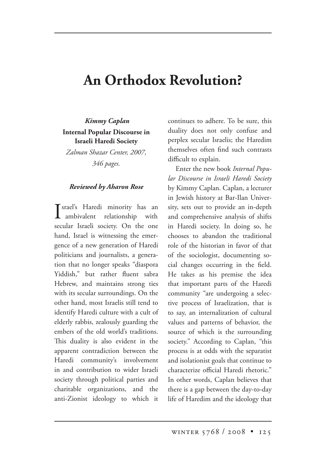## **An Orthodox Revolution?**

 *Kimmy Caplan* **Internal Popular Discourse in Israeli Haredi Society**

*Zalman Shazar Center, 2007, 346 pages.*

## *Reviewed by Aharon Rose*

I srael's Haredi minority has an<br>ambivalent relationship with ambivalent relationship with secular Israeli society. On the one hand, Israel is witnessing the emergence of a new generation of Haredi politicians and journalists, a generation that no longer speaks "diaspora Yiddish," but rather fluent sabra Hebrew, and maintains strong ties with its secular surroundings. On the other hand, most Israelis still tend to identify Haredi culture with a cult of elderly rabbis, zealously guarding the embers of the old world's traditions. This duality is also evident in the apparent contradiction between the Haredi community's involvement in and contribution to wider Israeli society through political parties and charitable organizations, and the anti-Zionist ideology to which it

continues to adhere. To be sure, this duality does not only confuse and perplex secular Israelis; the Haredim themselves often find such contrasts difficult to explain.

Enter the new book *Internal Popular Discourse in Israeli Haredi Society* by Kimmy Caplan. Caplan, a lecturer in Jewish history at Bar-Ilan University, sets out to provide an in-depth and comprehensive analysis of shifts in Haredi society. In doing so, he chooses to abandon the traditional role of the historian in favor of that of the sociologist, documenting social changes occurring in the field. He takes as his premise the idea that important parts of the Haredi community "are undergoing a selective process of Israelization, that is to say, an internalization of cultural values and patterns of behavior, the source of which is the surrounding society." According to Caplan, "this process is at odds with the separatist and isolationist goals that continue to characterize official Haredi rhetoric." In other words, Caplan believes that there is a gap between the day-to-day life of Haredim and the ideology that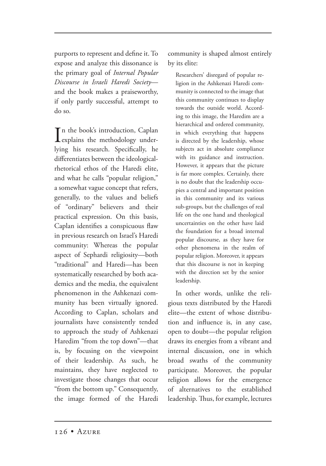purports to represent and define it. To expose and analyze this dissonance is the primary goal of *Internal Popular Discourse in Israeli Haredi Society* and the book makes a praiseworthy, if only partly successful, attempt to do so.

 $\prod_{\text{explains the methodology under}}$ n the book's introduction, Caplan lying his research. Specifically, he differentiates between the ideologicalrhetorical ethos of the Haredi elite, and what he calls "popular religion," a somewhat vague concept that refers, generally, to the values and beliefs of "ordinary" believers and their practical expression. On this basis, Caplan identifies a conspicuous flaw in previous research on Israel's Haredi community: Whereas the popular aspect of Sephardi religiosity—both "traditional" and Haredi—has been systematically researched by both academics and the media, the equivalent phenomenon in the Ashkenazi community has been virtually ignored. According to Caplan, scholars and journalists have consistently tended to approach the study of Ashkenazi Haredim "from the top down"—that is, by focusing on the viewpoint of their leadership. As such, he maintains, they have neglected to investigate those changes that occur "from the bottom up." Consequently, the image formed of the Haredi community is shaped almost entirely by its elite:

Researchers' disregard of popular religion in the Ashkenazi Haredi community is connected to the image that this community continues to display towards the outside world. According to this image, the Haredim are a hierarchical and ordered community, in which everything that happens is directed by the leadership, whose subjects act in absolute compliance with its guidance and instruction. However, it appears that the picture is far more complex. Certainly, there is no doubt that the leadership occupies a central and important position in this community and its various sub-groups, but the challenges of real life on the one hand and theological uncertainties on the other have laid the foundation for a broad internal popular discourse, as they have for other phenomena in the realm of popular religion. Moreover, it appears that this discourse is not in keeping with the direction set by the senior leadership.

In other words, unlike the religious texts distributed by the Haredi elite—the extent of whose distribution and influence is, in any case, open to doubt—the popular religion draws its energies from a vibrant and internal discussion, one in which broad swaths of the community participate. Moreover, the popular religion allows for the emergence of alternatives to the established leadership. Thus, for example, lectures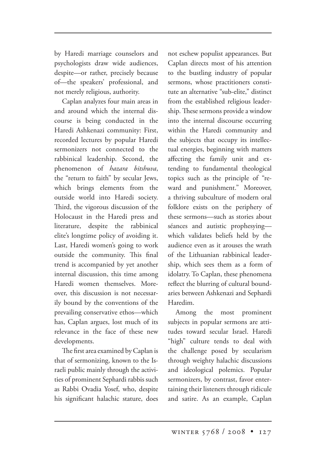by Haredi marriage counselors and psychologists draw wide audiences, despite—or rather, precisely because of—the speakers' professional, and not merely religious, authority.

Caplan analyzes four main areas in and around which the internal discourse is being conducted in the Haredi Ashkenazi community: First, recorded lectures by popular Haredi sermonizers not connected to the rabbinical leadership. Second, the phenomenon of *hazara bitshuva*, the "return to faith" by secular Jews, which brings elements from the outside world into Haredi society. Third, the vigorous discussion of the Holocaust in the Haredi press and literature, despite the rabbinical elite's longtime policy of avoiding it. Last, Haredi women's going to work outside the community. This final trend is accompanied by yet another internal discussion, this time among Haredi women themselves. Moreover, this discussion is not necessarily bound by the conventions of the prevailing conservative ethos—which has, Caplan argues, lost much of its relevance in the face of these new developments.

The first area examined by Caplan is that of sermonizing, known to the Israeli public mainly through the activities of prominent Sephardi rabbis such as Rabbi Ovadia Yosef, who, despite his significant halachic stature, does not eschew populist appearances. But Caplan directs most of his attention to the bustling industry of popular sermons, whose practitioners constitute an alternative "sub-elite," distinct from the established religious leadership. These sermons provide a window into the internal discourse occurring within the Haredi community and the subjects that occupy its intellectual energies, beginning with matters affecting the family unit and extending to fundamental theological topics such as the principle of "reward and punishment." Moreover, a thriving subculture of modern oral folklore exists on the periphery of these sermons—such as stories about séances and autistic prophesying which validates beliefs held by the audience even as it arouses the wrath of the Lithuanian rabbinical leadership, which sees them as a form of idolatry. To Caplan, these phenomena reflect the blurring of cultural boundaries between Ashkenazi and Sephardi Haredim.

Among the most prominent subjects in popular sermons are attitudes toward secular Israel. Haredi "high" culture tends to deal with the challenge posed by secularism through weighty halachic discussions and ideological polemics. Popular sermonizers, by contrast, favor entertaining their listeners through ridicule and satire. As an example, Caplan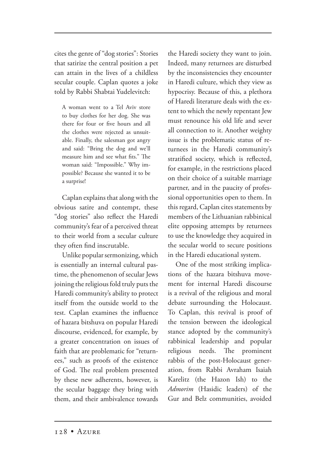cites the genre of "dog stories": Stories that satirize the central position a pet can attain in the lives of a childless secular couple. Caplan quotes a joke told by Rabbi Shabtai Yudelevitch:

A woman went to a Tel Aviv store to buy clothes for her dog. She was there for four or five hours and all the clothes were rejected as unsuitable. Finally, the salesman got angry and said: "Bring the dog and we'll measure him and see what fits." The woman said: "Impossible." Why impossible? Because she wanted it to be a surprise!

Caplan explains that along with the obvious satire and contempt, these "dog stories" also reflect the Haredi community's fear of a perceived threat to their world from a secular culture they often find inscrutable.

Unlike popular sermonizing, which is essentially an internal cultural pastime, the phenomenon of secular Jews joining the religious fold truly puts the Haredi community's ability to protect itself from the outside world to the test. Caplan examines the influence of hazara bitshuva on popular Haredi discourse, evidenced, for example, by a greater concentration on issues of faith that are problematic for "returnees," such as proofs of the existence of God. The real problem presented by these new adherents, however, is the secular baggage they bring with them, and their ambivalence towards

the Haredi society they want to join. Indeed, many returnees are disturbed by the inconsistencies they encounter in Haredi culture, which they view as hypocrisy. Because of this, a plethora of Haredi literature deals with the extent to which the newly repentant Jew must renounce his old life and sever all connection to it. Another weighty issue is the problematic status of returnees in the Haredi community's stratified society, which is reflected, for example, in the restrictions placed on their choice of a suitable marriage partner, and in the paucity of professional opportunities open to them. In this regard, Caplan cites statements by members of the Lithuanian rabbinical elite opposing attempts by returnees to use the knowledge they acquired in the secular world to secure positions in the Haredi educational system.

One of the most striking implications of the hazara bitshuva movement for internal Haredi discourse is a revival of the religious and moral debate surrounding the Holocaust. To Caplan, this revival is proof of the tension between the ideological stance adopted by the community's rabbinical leadership and popular religious needs. The prominent rabbis of the post-Holocaust generation, from Rabbi Avraham Isaiah Karelitz (the Hazon Ish) to the *Admorim* (Hasidic leaders) of the Gur and Belz communities, avoided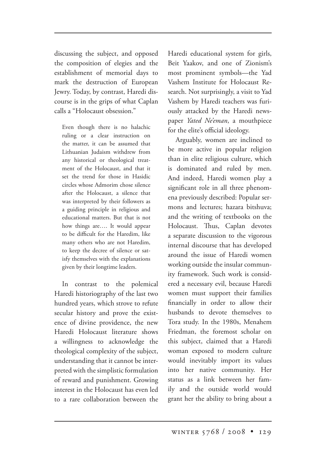discussing the subject, and opposed the composition of elegies and the establishment of memorial days to mark the destruction of European Jewry. Today, by contrast, Haredi discourse is in the grips of what Caplan calls a "Holocaust obsession."

Even though there is no halachic ruling or a clear instruction on the matter, it can be assumed that Lithuanian Judaism withdrew from any historical or theological treatment of the Holocaust, and that it set the trend for those in Hasidic circles whose Admorim chose silence after the Holocaust, a silence that was interpreted by their followers as a guiding principle in religious and educational matters. But that is not how things are…. It would appear to be difficult for the Haredim, like many others who are not Haredim, to keep the decree of silence or satisfy themselves with the explanations given by their longtime leaders.

In contrast to the polemical Haredi historiography of the last two hundred years, which strove to refute secular history and prove the existence of divine providence, the new Haredi Holocaust literature shows a willingness to acknowledge the theological complexity of the subject, understanding that it cannot be interpreted with the simplistic formulation of reward and punishment. Growing interest in the Holocaust has even led to a rare collaboration between the Haredi educational system for girls, Beit Yaakov, and one of Zionism's most prominent symbols—the Yad Vashem Institute for Holocaust Research. Not surprisingly, a visit to Yad Vashem by Haredi teachers was furiously attacked by the Haredi newspaper *Yated Ne'eman*, a mouthpiece for the elite's official ideology.

Arguably, women are inclined to be more active in popular religion than in elite religious culture, which is dominated and ruled by men. And indeed, Haredi women play a significant role in all three phenomena previously described: Popular sermons and lectures; hazara bitshuva; and the writing of textbooks on the Holocaust. Thus, Caplan devotes a separate discussion to the vigorous internal discourse that has developed around the issue of Haredi women working outside the insular community framework. Such work is considered a necessary evil, because Haredi women must support their families financially in order to allow their husbands to devote themselves to Tora study. In the 1980s, Menahem Friedman, the foremost scholar on this subject, claimed that a Haredi woman exposed to modern culture would inevitably import its values into her native community. Her status as a link between her family and the outside world would grant her the ability to bring about a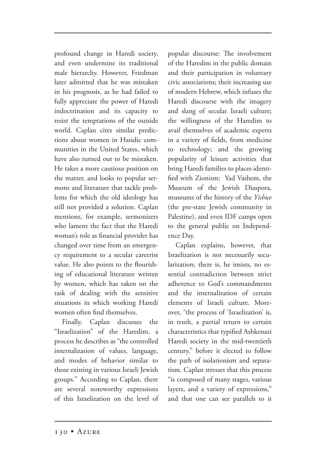profound change in Haredi society, and even undermine its traditional male hierarchy. However, Friedman later admitted that he was mistaken in his prognosis, as he had failed to fully appreciate the power of Haredi indoctrination and its capacity to resist the temptations of the outside world. Caplan cites similar predictions about women in Hasidic communities in the United States, which have also turned out to be mistaken. He takes a more cautious position on the matter, and looks to popular sermons and literature that tackle problems for which the old ideology has still not provided a solution. Caplan mentions, for example, sermonizers who lament the fact that the Haredi woman's role as financial provider has changed over time from an emergency requirement to a secular careerist value. He also points to the flourishing of educational literature written by women, which has taken on the task of dealing with the sensitive situations in which working Haredi women often find themselves.

Finally, Caplan discusses the "Israelization" of the Haredim, a process he describes as "the controlled internalization of values, language, and modes of behavior similar to those existing in various Israeli Jewish groups." According to Caplan, there are several noteworthy expressions of this Israelization on the level of popular discourse: The involvement of the Haredim in the public domain and their participation in voluntary civic associations; their increasing use of modern Hebrew, which infuses the Haredi discourse with the imagery and slang of secular Israeli culture; the willingness of the Haredim to avail themselves of academic experts in a variety of fields, from medicine to technology; and the growing popularity of leisure activities that bring Haredi families to places identified with Zionism: Yad Vashem, the Museum of the Jewish Diaspora, museums of the history of the *Yishuv*  (the pre-state Jewish community in Palestine), and even IDF camps open to the general public on Independence Day.

Caplan explains, however, that Israelization is not necessarily secularization; there is, he insists, no essential contradiction between strict adherence to God's commandments and the internalization of certain elements of Israeli culture. Moreover, "the process of 'Israelization' is, in truth, a partial return to certain characteristics that typified Ashkenazi Haredi society in the mid-twentieth century," before it elected to follow the path of isolationism and separatism. Caplan stresses that this process "is composed of many stages, various layers, and a variety of expressions," and that one can see parallels to it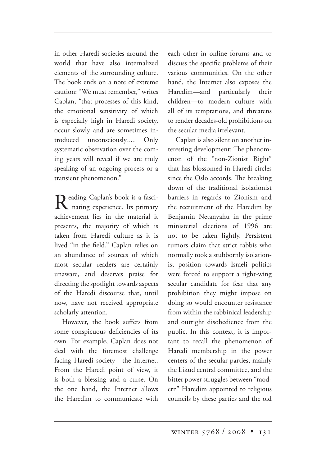in other Haredi societies around the world that have also internalized elements of the surrounding culture. The book ends on a note of extreme caution: "We must remember," writes Caplan, "that processes of this kind, the emotional sensitivity of which is especially high in Haredi society, occur slowly and are sometimes introduced unconsciously.… Only systematic observation over the coming years will reveal if we are truly speaking of an ongoing process or a transient phenomenon."

Reading Caplan's book is a fasci-<br>
Its primary<br>
Its primary achievement lies in the material it presents, the majority of which is taken from Haredi culture as it is lived "in the field." Caplan relies on an abundance of sources of which most secular readers are certainly unaware, and deserves praise for directing the spotlight towards aspects of the Haredi discourse that, until now, have not received appropriate scholarly attention.

However, the book suffers from some conspicuous deficiencies of its own. For example, Caplan does not deal with the foremost challenge facing Haredi society—the Internet. From the Haredi point of view, it is both a blessing and a curse. On the one hand, the Internet allows the Haredim to communicate with each other in online forums and to discuss the specific problems of their various communities. On the other hand, the Internet also exposes the Haredim—and particularly their children—to modern culture with all of its temptations, and threatens to render decades-old prohibitions on the secular media irrelevant.

Caplan is also silent on another interesting development: The phenomenon of the "non-Zionist Right" that has blossomed in Haredi circles since the Oslo accords. The breaking down of the traditional isolationist barriers in regards to Zionism and the recruitment of the Haredim by Benjamin Netanyahu in the prime ministerial elections of 1996 are not to be taken lightly. Persistent rumors claim that strict rabbis who normally took a stubbornly isolationist position towards Israeli politics were forced to support a right-wing secular candidate for fear that any prohibition they might impose on doing so would encounter resistance from within the rabbinical leadership and outright disobedience from the public. In this context, it is important to recall the phenomenon of Haredi membership in the power centers of the secular parties, mainly the Likud central committee, and the bitter power struggles between "modern" Haredim appointed to religious councils by these parties and the old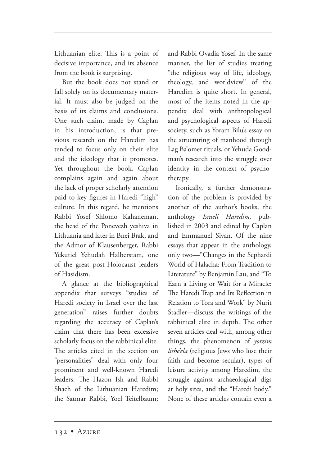Lithuanian elite. This is a point of decisive importance, and its absence from the book is surprising.

But the book does not stand or fall solely on its documentary material. It must also be judged on the basis of its claims and conclusions. One such claim, made by Caplan in his introduction, is that previous research on the Haredim has tended to focus only on their elite and the ideology that it promotes. Yet throughout the book, Caplan complains again and again about the lack of proper scholarly attention paid to key figures in Haredi "high" culture. In this regard, he mentions Rabbi Yosef Shlomo Kahaneman, the head of the Ponevezh yeshiva in Lithuania and later in Bnei Brak, and the Admor of Klausenberger, Rabbi Yekutiel Yehudah Halberstam, one of the great post-Holocaust leaders of Hasidism.

A glance at the bibliographical appendix that surveys "studies of Haredi society in Israel over the last generation" raises further doubts regarding the accuracy of Caplan's claim that there has been excessive scholarly focus on the rabbinical elite. The articles cited in the section on "personalities" deal with only four prominent and well-known Haredi leaders: The Hazon Ish and Rabbi Shach of the Lithuanian Haredim; the Satmar Rabbi, Yoel Teitelbaum; and Rabbi Ovadia Yosef. In the same manner, the list of studies treating "the religious way of life, ideology, theology, and worldview" of the Haredim is quite short. In general, most of the items noted in the appendix deal with anthropological and psychological aspects of Haredi society, such as Yoram Bilu's essay on the structuring of manhood through Lag Ba'omer rituals, or Yehuda Goodman's research into the struggle over identity in the context of psychotherapy.

Ironically, a further demonstration of the problem is provided by another of the author's books, the anthology *Israeli Haredim*, published in 2003 and edited by Caplan and Emmanuel Sivan. Of the nine essays that appear in the anthology, only two—"Changes in the Sephardi World of Halacha: From Tradition to Literature" by Benjamin Lau, and "To Earn a Living or Wait for a Miracle: The Haredi Trap and Its Reflection in Relation to Tora and Work" by Nurit Stadler—discuss the writings of the rabbinical elite in depth. The other seven articles deal with, among other things, the phenomenon of *yotzim lishe'ela* (religious Jews who lose their faith and become secular), types of leisure activity among Haredim, the struggle against archaeological digs at holy sites, and the "Haredi body." None of these articles contain even a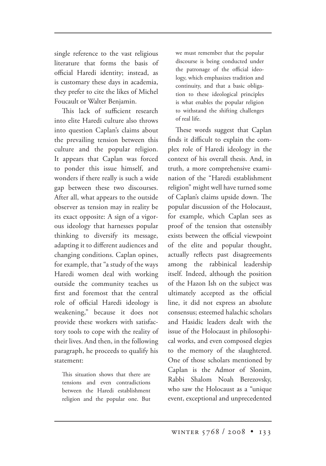single reference to the vast religious literature that forms the basis of official Haredi identity; instead, as is customary these days in academia, they prefer to cite the likes of Michel Foucault or Walter Benjamin.

This lack of sufficient research into elite Haredi culture also throws into question Caplan's claims about the prevailing tension between this culture and the popular religion. It appears that Caplan was forced to ponder this issue himself, and wonders if there really is such a wide gap between these two discourses. After all, what appears to the outside observer as tension may in reality be its exact opposite: A sign of a vigorous ideology that harnesses popular thinking to diversify its message, adapting it to different audiences and changing conditions. Caplan opines, for example, that "a study of the ways Haredi women deal with working outside the community teaches us first and foremost that the central role of official Haredi ideology is weakening," because it does not provide these workers with satisfactory tools to cope with the reality of their lives. And then, in the following paragraph, he proceeds to qualify his statement:

This situation shows that there are tensions and even contradictions between the Haredi establishment religion and the popular one. But

we must remember that the popular discourse is being conducted under the patronage of the official ideology, which emphasizes tradition and continuity, and that a basic obligation to these ideological principles is what enables the popular religion to withstand the shifting challenges of real life.

These words suggest that Caplan finds it difficult to explain the complex role of Haredi ideology in the context of his overall thesis. And, in truth, a more comprehensive examination of the "Haredi establishment religion" might well have turned some of Caplan's claims upside down. The popular discussion of the Holocaust, for example, which Caplan sees as proof of the tension that ostensibly exists between the official viewpoint of the elite and popular thought, actually reflects past disagreements among the rabbinical leadership itself. Indeed, although the position of the Hazon Ish on the subject was ultimately accepted as the official line, it did not express an absolute consensus; esteemed halachic scholars and Hasidic leaders dealt with the issue of the Holocaust in philosophical works, and even composed elegies to the memory of the slaughtered. One of those scholars mentioned by Caplan is the Admor of Slonim, Rabbi Shalom Noah Berezovsky, who saw the Holocaust as a "unique event, exceptional and unprecedented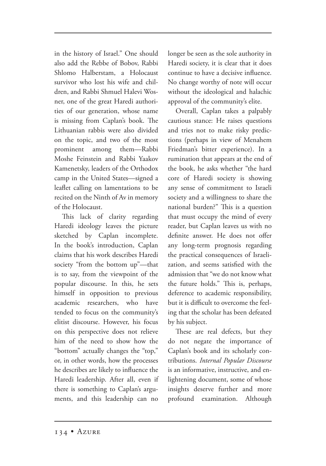in the history of Israel." One should also add the Rebbe of Bobov, Rabbi Shlomo Halberstam, a Holocaust survivor who lost his wife and children, and Rabbi Shmuel Halevi Wosner, one of the great Haredi authorities of our generation, whose name is missing from Caplan's book. The Lithuanian rabbis were also divided on the topic, and two of the most prominent among them—Rabbi Moshe Feinstein and Rabbi Yaakov Kamenetsky, leaders of the Orthodox camp in the United States—signed a leaflet calling on lamentations to be recited on the Ninth of Av in memory of the Holocaust.

This lack of clarity regarding Haredi ideology leaves the picture sketched by Caplan incomplete. In the book's introduction, Caplan claims that his work describes Haredi society "from the bottom up"—that is to say, from the viewpoint of the popular discourse. In this, he sets himself in opposition to previous academic researchers, who have tended to focus on the community's elitist discourse. However, his focus on this perspective does not relieve him of the need to show how the "bottom" actually changes the "top," or, in other words, how the processes he describes are likely to influence the Haredi leadership. After all, even if there is something to Caplan's arguments, and this leadership can no

longer be seen as the sole authority in Haredi society, it is clear that it does continue to have a decisive influence. No change worthy of note will occur without the ideological and halachic approval of the community's elite.

Overall, Caplan takes a palpably cautious stance: He raises questions and tries not to make risky predictions (perhaps in view of Menahem Friedman's bitter experience). In a rumination that appears at the end of the book, he asks whether "the hard core of Haredi society is showing any sense of commitment to Israeli society and a willingness to share the national burden?" This is a question that must occupy the mind of every reader, but Caplan leaves us with no definite answer. He does not offer any long-term prognosis regarding the practical consequences of Israelization, and seems satisfied with the admission that "we do not know what the future holds." This is, perhaps, deference to academic responsibility, but it is difficult to overcome the feeling that the scholar has been defeated by his subject.

These are real defects, but they do not negate the importance of Caplan's book and its scholarly contributions. *Internal Popular Discourse* is an informative, instructive, and enlightening document, some of whose insights deserve further and more profound examination. Although